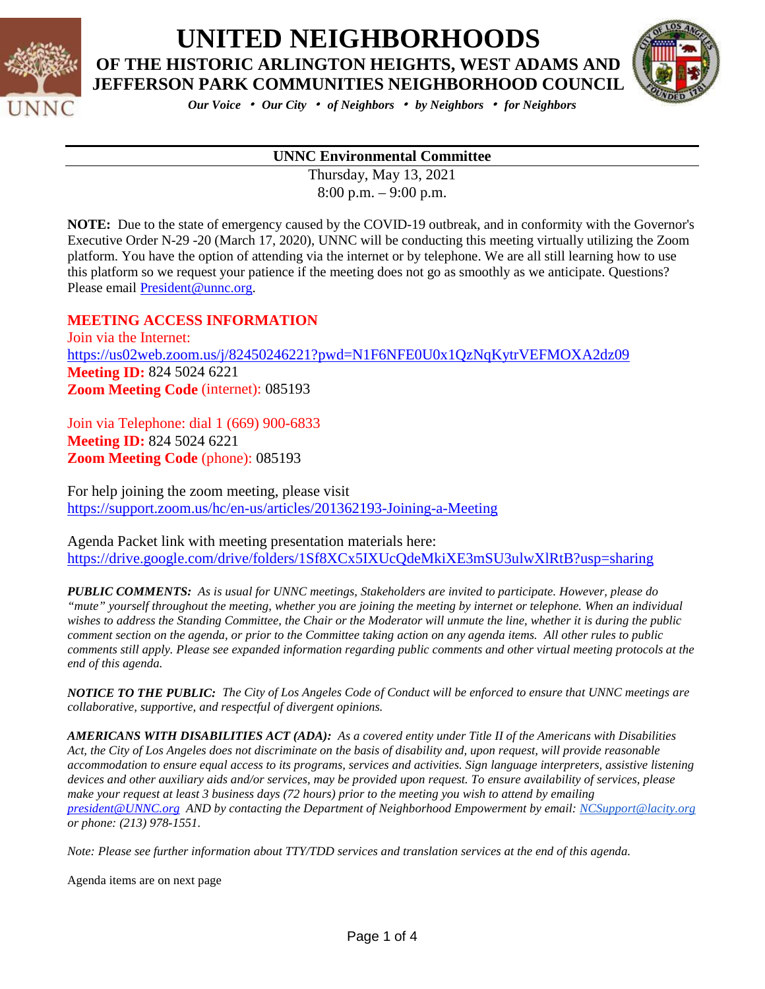



*Our Voice* • *Our City* • *of Neighbors* • *by Neighbors* • *for Neighbors*

### **UNNC Environmental Committee**

Thursday, May 13, 2021 8:00 p.m. – 9:00 p.m.

**NOTE:** Due to the state of emergency caused by the COVID-19 outbreak, and in conformity with the Governor's Executive Order N-29 -20 (March 17, 2020), UNNC will be conducting this meeting virtually utilizing the Zoom platform. You have the option of attending via the internet or by telephone. We are all still learning how to use this platform so we request your patience if the meeting does not go as smoothly as we anticipate. Questions? Please email [President@unnc.org.](mailto:President@unnc.org)

### **MEETING ACCESS INFORMATION**

Join via the Internet: <https://us02web.zoom.us/j/82450246221?pwd=N1F6NFE0U0x1QzNqKytrVEFMOXA2dz09> **Meeting ID:** 824 5024 6221 **Zoom Meeting Code** (internet): 085193

Join via Telephone: dial 1 (669) 900-6833 **Meeting ID:** 824 5024 6221 **Zoom Meeting Code** (phone): 085193

For help joining the zoom meeting, please visit <https://support.zoom.us/hc/en-us/articles/201362193-Joining-a-Meeting>

Agenda Packet link with meeting presentation materials here: <https://drive.google.com/drive/folders/1Sf8XCx5IXUcQdeMkiXE3mSU3ulwXlRtB?usp=sharing>

*PUBLIC COMMENTS: As is usual for UNNC meetings, Stakeholders are invited to participate. However, please do "mute" yourself throughout the meeting, whether you are joining the meeting by internet or telephone. When an individual wishes to address the Standing Committee, the Chair or the Moderator will unmute the line, whether it is during the public comment section on the agenda, or prior to the Committee taking action on any agenda items. All other rules to public comments still apply. Please see expanded information regarding public comments and other virtual meeting protocols at the end of this agenda.*

*NOTICE TO THE PUBLIC: The City of Los Angeles Code of Conduct will be enforced to ensure that UNNC meetings are collaborative, supportive, and respectful of divergent opinions.* 

*AMERICANS WITH DISABILITIES ACT (ADA): As a covered entity under Title II of the Americans with Disabilities Act, the City of Los Angeles does not discriminate on the basis of disability and, upon request, will provide reasonable accommodation to ensure equal access to its programs, services and activities. Sign language interpreters, assistive listening devices and other auxiliary aids and/or services, may be provided upon request. To ensure availability of services, please make your request at least 3 business days (72 hours) prior to the meeting you wish to attend by emailing [president@UNNC.org](mailto:president@UNNC.org) AND by contacting the Department of Neighborhood Empowerment by email: [NCSupport@lacity.org](mailto:NCSupport@lacity.org) or phone: (213) 978-1551.*

*Note: Please see further information about TTY/TDD services and translation services at the end of this agenda.*

Agenda items are on next page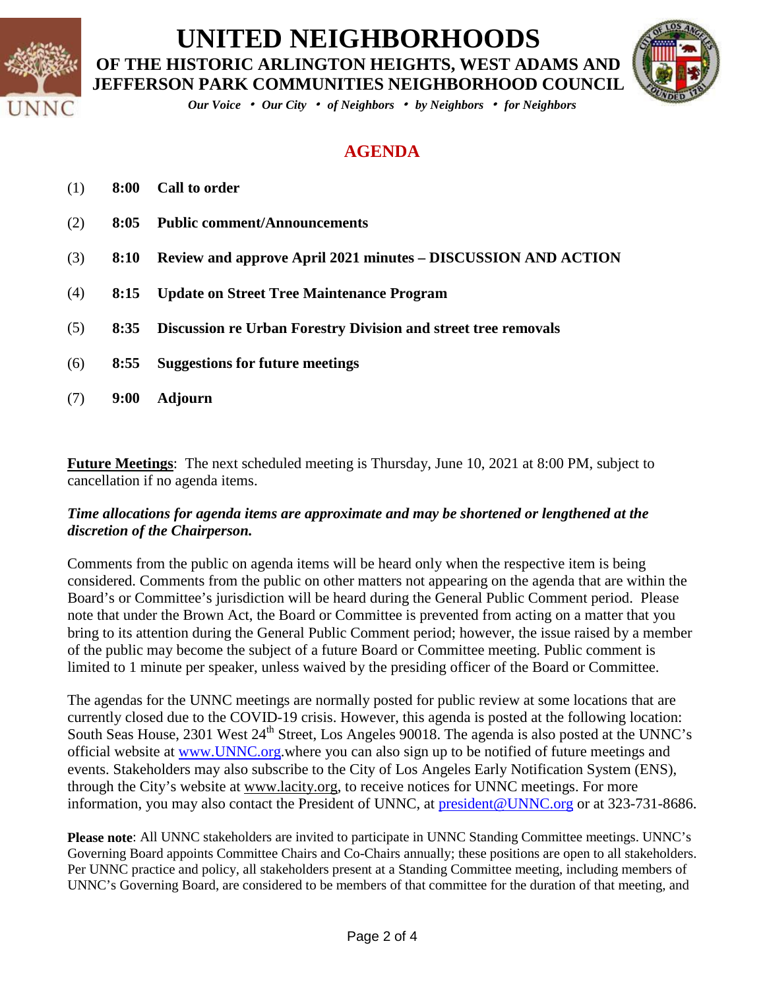



*Our Voice* • *Our City* • *of Neighbors* • *by Neighbors* • *for Neighbors*

### **AGENDA**

- (1) **8:00 Call to order**
- (2) **8:05 Public comment/Announcements**
- (3) **8:10 Review and approve April 2021 minutes – DISCUSSION AND ACTION**
- (4) **8:15 Update on Street Tree Maintenance Program**
- (5) **8:35 Discussion re Urban Forestry Division and street tree removals**
- (6) **8:55 Suggestions for future meetings**
- (7) **9:00 Adjourn**

**Future Meetings**: The next scheduled meeting is Thursday, June 10, 2021 at 8:00 PM, subject to cancellation if no agenda items.

### *Time allocations for agenda items are approximate and may be shortened or lengthened at the discretion of the Chairperson.*

Comments from the public on agenda items will be heard only when the respective item is being considered. Comments from the public on other matters not appearing on the agenda that are within the Board's or Committee's jurisdiction will be heard during the General Public Comment period. Please note that under the Brown Act, the Board or Committee is prevented from acting on a matter that you bring to its attention during the General Public Comment period; however, the issue raised by a member of the public may become the subject of a future Board or Committee meeting. Public comment is limited to 1 minute per speaker, unless waived by the presiding officer of the Board or Committee.

The agendas for the UNNC meetings are normally posted for public review at some locations that are currently closed due to the COVID-19 crisis. However, this agenda is posted at the following location: South Seas House, 2301 West 24<sup>th</sup> Street, Los Angeles 90018. The agenda is also posted at the UNNC's official website at [www.UNNC.org.](http://www.unnc.org/)where you can also sign up to be notified of future meetings and events. Stakeholders may also subscribe to the City of Los Angeles Early Notification System (ENS), through the City's website at www.lacity.org, to receive notices for UNNC meetings. For more information, you may also contact the President of UNNC, at [president@UNNC.org](mailto:president@UNNC.org) or at 323-731-8686.

**Please note**: All UNNC stakeholders are invited to participate in UNNC Standing Committee meetings. UNNC's Governing Board appoints Committee Chairs and Co-Chairs annually; these positions are open to all stakeholders. Per UNNC practice and policy, all stakeholders present at a Standing Committee meeting, including members of UNNC's Governing Board, are considered to be members of that committee for the duration of that meeting, and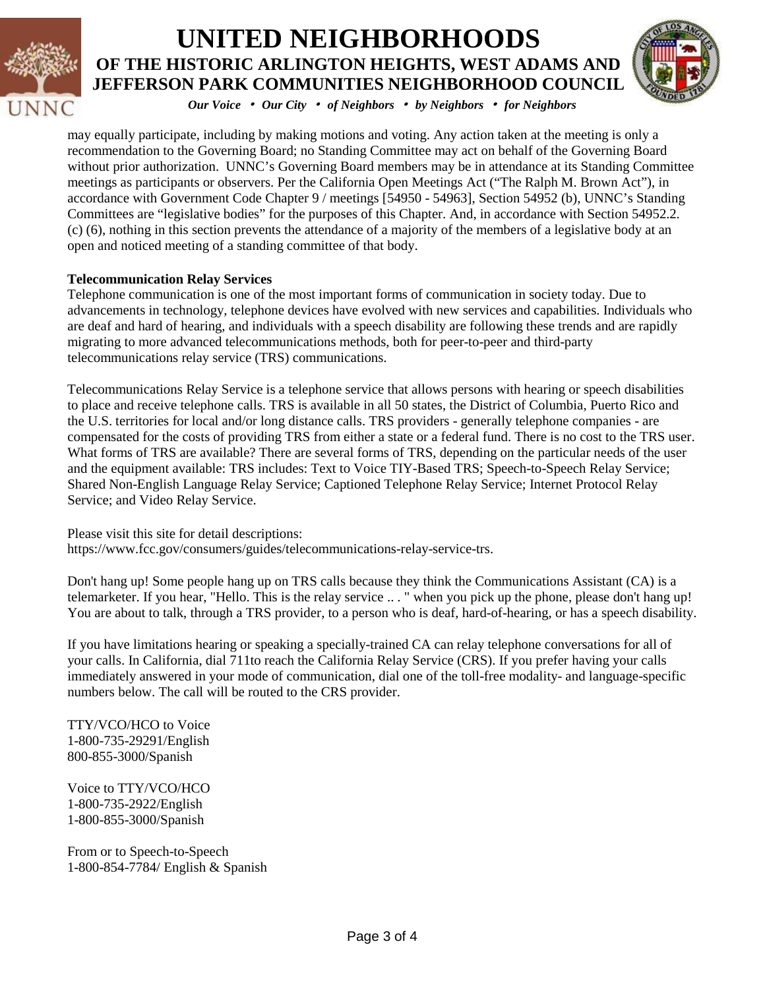



*Our Voice* • *Our City* • *of Neighbors* • *by Neighbors* • *for Neighbors*

may equally participate, including by making motions and voting. Any action taken at the meeting is only a recommendation to the Governing Board; no Standing Committee may act on behalf of the Governing Board without prior authorization. UNNC's Governing Board members may be in attendance at its Standing Committee meetings as participants or observers. Per the California Open Meetings Act ("The Ralph M. Brown Act"), in accordance with Government Code Chapter 9 / meetings [54950 - 54963], Section 54952 (b), UNNC's Standing Committees are "legislative bodies" for the purposes of this Chapter. And, in accordance with Section 54952.2. (c) (6), nothing in this section prevents the attendance of a majority of the members of a legislative body at an open and noticed meeting of a standing committee of that body.

#### **Telecommunication Relay Services**

Telephone communication is one of the most important forms of communication in society today. Due to advancements in technology, telephone devices have evolved with new services and capabilities. Individuals who are deaf and hard of hearing, and individuals with a speech disability are following these trends and are rapidly migrating to more advanced telecommunications methods, both for peer-to-peer and third-party telecommunications relay service (TRS) communications.

Telecommunications Relay Service is a telephone service that allows persons with hearing or speech disabilities to place and receive telephone calls. TRS is available in all 50 states, the District of Columbia, Puerto Rico and the U.S. territories for local and/or long distance calls. TRS providers - generally telephone companies - are compensated for the costs of providing TRS from either a state or a federal fund. There is no cost to the TRS user. What forms of TRS are available? There are several forms of TRS, depending on the particular needs of the user and the equipment available: TRS includes: Text to Voice TIY-Based TRS; Speech-to-Speech Relay Service; Shared Non-English Language Relay Service; Captioned Telephone Relay Service; Internet Protocol Relay Service; and Video Relay Service.

Please visit this site for detail descriptions:

https://www.fcc.gov/consumers/guides/telecommunications-relay-service-trs.

Don't hang up! Some people hang up on TRS calls because they think the Communications Assistant (CA) is a telemarketer. If you hear, "Hello. This is the relay service .. . " when you pick up the phone, please don't hang up! You are about to talk, through a TRS provider, to a person who is deaf, hard-of-hearing, or has a speech disability.

If you have limitations hearing or speaking a specially-trained CA can relay telephone conversations for all of your calls. In California, dial 711to reach the California Relay Service (CRS). If you prefer having your calls immediately answered in your mode of communication, dial one of the toll-free modality- and language-specific numbers below. The call will be routed to the CRS provider.

TTY/VCO/HCO to Voice 1-800-735-29291/English 800-855-3000/Spanish

Voice to TTY/VCO/HCO 1-800-735-2922/English 1-800-855-3000/Spanish

From or to Speech-to-Speech 1-800-854-7784/ English & Spanish